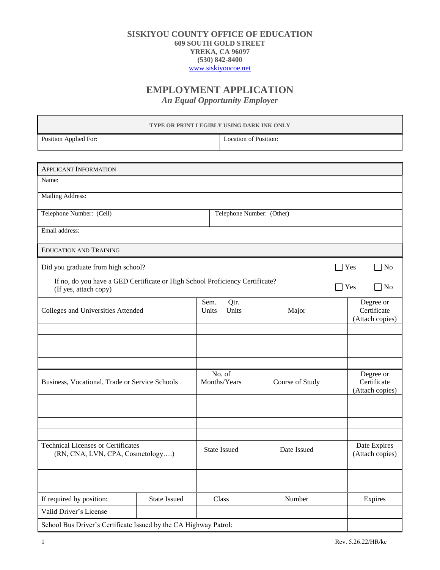## **SISKIYOU COUNTY OFFICE OF EDUCATION 609 SOUTH GOLD STREET YREKA, CA 96097 (530) 842-8400** [www.siskiyoucoe.net](http://www.siskiyoucoe.net/)

## **EMPLOYMENT APPLICATION**

*An Equal Opportunity Employer*

| TYPE OR PRINT LEGIBLY USING DARK INK ONLY                                                             |                     |                        |                           |                 |  |                                             |
|-------------------------------------------------------------------------------------------------------|---------------------|------------------------|---------------------------|-----------------|--|---------------------------------------------|
| Position Applied For:                                                                                 |                     |                        | Location of Position:     |                 |  |                                             |
|                                                                                                       |                     |                        |                           |                 |  |                                             |
| <b>APPLICANT INFORMATION</b>                                                                          |                     |                        |                           |                 |  |                                             |
| Name:                                                                                                 |                     |                        |                           |                 |  |                                             |
| Mailing Address:                                                                                      |                     |                        |                           |                 |  |                                             |
| Telephone Number: (Cell)                                                                              |                     |                        | Telephone Number: (Other) |                 |  |                                             |
| Email address:                                                                                        |                     |                        |                           |                 |  |                                             |
| <b>EDUCATION AND TRAINING</b>                                                                         |                     |                        |                           |                 |  |                                             |
| Did you graduate from high school?                                                                    |                     |                        |                           |                 |  | Yes<br>N <sub>0</sub>                       |
| If no, do you have a GED Certificate or High School Proficiency Certificate?<br>(If yes, attach copy) |                     |                        |                           |                 |  | Yes<br>N <sub>0</sub>                       |
| Colleges and Universities Attended                                                                    |                     | Sem.<br>Units          | Qtr.<br>Units             | Major           |  | Degree or<br>Certificate<br>(Attach copies) |
|                                                                                                       |                     |                        |                           |                 |  |                                             |
|                                                                                                       |                     |                        |                           |                 |  |                                             |
|                                                                                                       |                     |                        |                           |                 |  |                                             |
| Business, Vocational, Trade or Service Schools                                                        |                     | No. of<br>Months/Years |                           | Course of Study |  | Degree or<br>Certificate<br>(Attach copies) |
|                                                                                                       |                     |                        |                           |                 |  |                                             |
|                                                                                                       |                     |                        |                           |                 |  |                                             |
|                                                                                                       |                     |                        |                           |                 |  |                                             |
| <b>Technical Licenses or Certificates</b><br>(RN, CNA, LVN, CPA, Cosmetology)                         |                     | <b>State Issued</b>    |                           | Date Issued     |  | Date Expires<br>(Attach copies)             |
|                                                                                                       |                     |                        |                           |                 |  |                                             |
|                                                                                                       |                     |                        |                           |                 |  |                                             |
| If required by position:                                                                              | <b>State Issued</b> |                        | Class                     | Number          |  | Expires                                     |
| Valid Driver's License                                                                                |                     |                        |                           |                 |  |                                             |
| School Bus Driver's Certificate Issued by the CA Highway Patrol:                                      |                     |                        |                           |                 |  |                                             |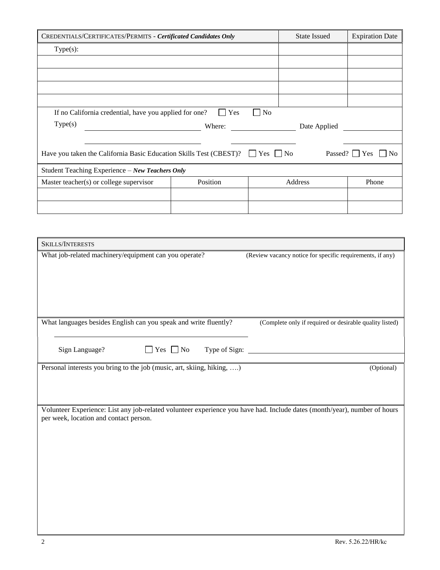| CREDENTIALS/CERTIFICATES/PERMITS - Certificated Candidates Only                                                                 | <b>State Issued</b> | <b>Expiration Date</b> |         |       |
|---------------------------------------------------------------------------------------------------------------------------------|---------------------|------------------------|---------|-------|
| $Type(s)$ :                                                                                                                     |                     |                        |         |       |
|                                                                                                                                 |                     |                        |         |       |
|                                                                                                                                 |                     |                        |         |       |
|                                                                                                                                 |                     |                        |         |       |
|                                                                                                                                 |                     |                        |         |       |
| If no California credential, have you applied for one?                                                                          | Yes                 | $ $ No                 |         |       |
| Type(s)                                                                                                                         | Where:              |                        |         |       |
|                                                                                                                                 |                     |                        |         |       |
| Have you taken the California Basic Education Skills Test (CBEST)? $\Box$ Yes $\Box$ No<br>Passed? $\Box$ Yes<br>N <sub>0</sub> |                     |                        |         |       |
| Student Teaching Experience - New Teachers Only                                                                                 |                     |                        |         |       |
| Master teacher(s) or college supervisor                                                                                         | Position            |                        | Address | Phone |
|                                                                                                                                 |                     |                        |         |       |
|                                                                                                                                 |                     |                        |         |       |

| SKILLS/INTERESTS                                                                                                                                                    |                                                           |
|---------------------------------------------------------------------------------------------------------------------------------------------------------------------|-----------------------------------------------------------|
| What job-related machinery/equipment can you operate?                                                                                                               | (Review vacancy notice for specific requirements, if any) |
| What languages besides English can you speak and write fluently?                                                                                                    | (Complete only if required or desirable quality listed)   |
| Sign Language?<br>Type of Sign:<br>$\Box$ Yes $\Box$ No                                                                                                             |                                                           |
| Personal interests you bring to the job (music, art, skiing, hiking, )                                                                                              | (Optional)                                                |
| Volunteer Experience: List any job-related volunteer experience you have had. Include dates (month/year), number of hours<br>per week, location and contact person. |                                                           |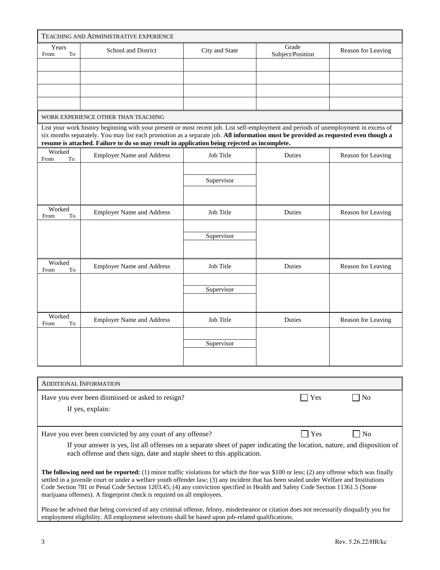|                      | TEACHING AND ADMINISTRATIVE EXPERIENCE                                                                                                                                                                                                                                                                                                                                    |                |                           |                    |
|----------------------|---------------------------------------------------------------------------------------------------------------------------------------------------------------------------------------------------------------------------------------------------------------------------------------------------------------------------------------------------------------------------|----------------|---------------------------|--------------------|
| Years<br>To<br>From  | School and District                                                                                                                                                                                                                                                                                                                                                       | City and State | Grade<br>Subject/Position | Reason for Leaving |
|                      |                                                                                                                                                                                                                                                                                                                                                                           |                |                           |                    |
|                      |                                                                                                                                                                                                                                                                                                                                                                           |                |                           |                    |
|                      |                                                                                                                                                                                                                                                                                                                                                                           |                |                           |                    |
|                      |                                                                                                                                                                                                                                                                                                                                                                           |                |                           |                    |
|                      | WORK EXPERIENCE OTHER THAN TEACHING                                                                                                                                                                                                                                                                                                                                       |                |                           |                    |
|                      | List your work history beginning with your present or most recent job. List self-employment and periods of unemployment in excess of<br>six months separately. You may list each promotion as a separate job. All information must be provided as requested even though a<br>resume is attached. Failure to do so may result in application being rejected as incomplete. |                |                           |                    |
| Worked<br>To<br>From | <b>Employer Name and Address</b>                                                                                                                                                                                                                                                                                                                                          | Job Title      | Duties                    | Reason for Leaving |
|                      |                                                                                                                                                                                                                                                                                                                                                                           |                |                           |                    |
|                      |                                                                                                                                                                                                                                                                                                                                                                           | Supervisor     |                           |                    |
|                      |                                                                                                                                                                                                                                                                                                                                                                           |                |                           |                    |
| Worked<br>From<br>To | <b>Employer Name and Address</b>                                                                                                                                                                                                                                                                                                                                          | Job Title      | Duties                    | Reason for Leaving |
|                      |                                                                                                                                                                                                                                                                                                                                                                           | Supervisor     |                           |                    |
|                      |                                                                                                                                                                                                                                                                                                                                                                           |                |                           |                    |
| Worked<br>From<br>To | <b>Employer Name and Address</b>                                                                                                                                                                                                                                                                                                                                          | Job Title      | Duties                    | Reason for Leaving |
|                      |                                                                                                                                                                                                                                                                                                                                                                           |                |                           |                    |
|                      |                                                                                                                                                                                                                                                                                                                                                                           | Supervisor     |                           |                    |
|                      |                                                                                                                                                                                                                                                                                                                                                                           |                |                           |                    |
| Worked<br>To<br>From | <b>Employer Name and Address</b>                                                                                                                                                                                                                                                                                                                                          | Job Title      | Duties                    | Reason for Leaving |
|                      |                                                                                                                                                                                                                                                                                                                                                                           |                |                           |                    |
|                      |                                                                                                                                                                                                                                                                                                                                                                           | Supervisor     |                           |                    |
|                      |                                                                                                                                                                                                                                                                                                                                                                           |                |                           |                    |
|                      |                                                                                                                                                                                                                                                                                                                                                                           |                |                           |                    |

| <b>ADDITIONAL INFORMATION</b>                                                                                                                                                                                                                                                                                                                                                                                                                                                                        |     |                |
|------------------------------------------------------------------------------------------------------------------------------------------------------------------------------------------------------------------------------------------------------------------------------------------------------------------------------------------------------------------------------------------------------------------------------------------------------------------------------------------------------|-----|----------------|
| Have you ever been dismissed or asked to resign?                                                                                                                                                                                                                                                                                                                                                                                                                                                     | Yes | N <sub>o</sub> |
| If yes, explain:                                                                                                                                                                                                                                                                                                                                                                                                                                                                                     |     |                |
|                                                                                                                                                                                                                                                                                                                                                                                                                                                                                                      |     |                |
| Have you ever been convicted by any court of any offense?                                                                                                                                                                                                                                                                                                                                                                                                                                            | Yes | No             |
| If your answer is yes, list all offenses on a separate sheet of paper indicating the location, nature, and disposition of<br>each offense and then sign, date and staple sheet to this application.                                                                                                                                                                                                                                                                                                  |     |                |
| <b>The following need not be reported:</b> (1) minor traffic violations for which the fine was \$100 or less; (2) any offense which was finally<br>settled in a juvenile court or under a welfare youth offender law; (3) any incident that has been sealed under Welfare and Institutions<br>Code Section 781 or Penal Code Section 1203.45; (4) any conviction specified in Health and Safety Code Section 11361.5 (Some<br>marijuana offenses). A fingerprint check is required on all employees. |     |                |
| Please be advised that being convicted of any criminal offense, felony, misdemeanor or citation does not necessarily disqualify you for<br>employment eligibility. All employment selections shall be based upon job-related qualifications.                                                                                                                                                                                                                                                         |     |                |